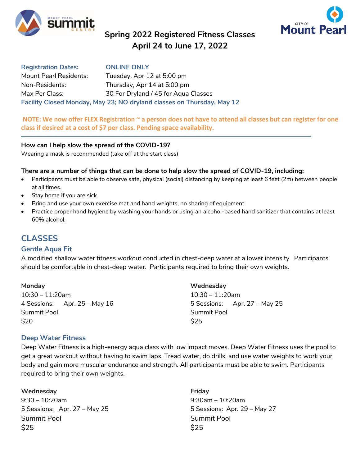

# **Spring 2022 Registered Fitness Classes April 24 to June 17, 2022**



**Registration Dates: ONLINE ONLY** Mount Pearl Residents: Tuesday, Apr 12 at 5:00 pm Non-Residents: Thursday, Apr 14 at 5:00 pm Max Per Class: 30 For Dryland / 45 for Aqua Classes **Facility Closed Monday, May 23; NO dryland classes on Thursday, May 12**

**NOTE: We now offer FLEX Registration ~ a person does not have to attend all classes but can register for one class if desired at a cost of \$7 per class. Pending space availability.**

#### **How can I help slow the spread of the COVID-19?**

Wearing a mask is recommended (take off at the start class)

#### **There are a number of things that can be done to help slow the spread of COVID-19, including:**

- Participants must be able to observe safe, physical (social) distancing by keeping at least 6 feet (2m) between people at all times.
- Stay home if you are sick.
- Bring and use your own exercise mat and hand weights, no sharing of equipment.
- Practice proper hand hygiene by washing your hands or using an alcohol-based hand sanitizer that contains at least 60% alcohol.

# **CLASSES**

## **Gentle Aqua Fit**

A modified shallow water fitness workout conducted in chest-deep water at a lower intensity. Participants should be comfortable in chest-deep water. Participants required to bring their own weights.

| Monday                         | Wednesday                      |
|--------------------------------|--------------------------------|
| $10:30 - 11:20$ am             | $10:30 - 11:20$ am             |
| 4 Sessions: Apr. $25 - May 16$ | 5 Sessions: Apr. $27 - May 25$ |
| Summit Pool                    | Summit Pool                    |
| \$20                           | <b>S25</b>                     |

## **Deep Water Fitness**

Deep Water Fitness is a high-energy aqua class with low impact moves. Deep Water Fitness uses the pool to get a great workout without having to swim laps. Tread water, do drills, and use water weights to work your body and gain more muscular endurance and strength. All participants must be able to swim. Participants required to bring their own weights.

#### **Wednesday Friday**

9:30 – 10:20am 9:30am – 10:20am 5 Sessions: Apr. 27 - May 25 5 Sessions: Apr. 29 - May 27 Summit Pool Summit Pool  $$25$   $$25$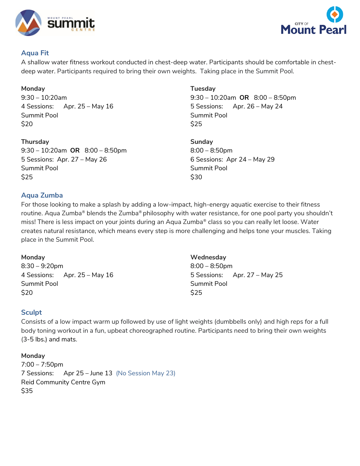



# **Aqua Fit**

A shallow water fitness workout conducted in chest-deep water. Participants should be comfortable in chestdeep water. Participants required to bring their own weights. Taking place in the Summit Pool.

**Monday** 9:30 – 10:20am 4 Sessions: Apr. 25 – May 16 Summit Pool \$20

**Thursday Sunday Sunday** 9:30 – 10:20am **OR** 8:00 – 8:50pm 8:00 – 8:50pm 5 Sessions: Apr. 27 – May 26 6 Sessions: Apr 24 – May 29 Summit Pool Summit Pool  $$25$   $$30$ 

**Tuesday** 9:30 – 10:20am **OR** 8:00 – 8:50pm 5 Sessions: Apr. 26 – May 24 Summit Pool \$25

# **Aqua Zumba**

For those looking to make a splash by adding a low-impact, high-energy aquatic exercise to their fitness routine. Aqua Zumba® blends the Zumba® philosophy with water resistance, for one pool party you shouldn't miss! There is less impact on your joints during an Aqua Zumba® class so you can really let loose. Water creates natural resistance, which means every step is more challenging and helps tone your muscles. Taking place in the Summit Pool.

# **Monday**

8:30 – 9:20pm 4 Sessions: Apr. 25 – May 16 Summit Pool \$20

**Wednesday** 8:00 – 8:50pm 5 Sessions: Apr. 27 – May 25 Summit Pool \$25

# **Sculpt**

Consists of a low impact warm up followed by use of light weights (dumbbells only) and high reps for a full body toning workout in a fun, upbeat choreographed routine. Participants need to bring their own weights (3-5 lbs.) and mats.

## **Monday**

7:00 – 7:50pm 7 Sessions: Apr 25 – June 13 (No Session May 23) Reid Community Centre Gym \$35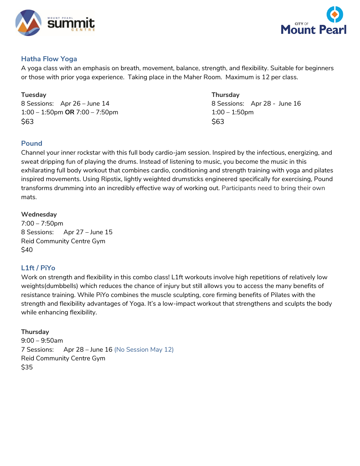



# **Hatha Flow Yoga**

A yoga class with an emphasis on breath, movement, balance, strength, and flexibility. Suitable for beginners or those with prior yoga experience. Taking place in the Maher Room. Maximum is 12 per class.

8 Sessions: Apr 26 – June 14 and 19 and 18 Sessions: Apr 28 - June 16 1:00 – 1:50pm **OR** 7:00 – 7:50pm 1:00 – 1:50pm  $$63$   $$63$ 

# **Tuesday Thursday**

# **Pound**

Channel your inner rockstar with this full body cardio-jam session. Inspired by the infectious, energizing, and sweat dripping fun of playing the drums. Instead of listening to music, you become the music in this exhilarating full body workout that combines cardio, conditioning and strength training with yoga and pilates inspired movements. Using Ripstix, lightly weighted drumsticks engineered specifically for exercising, Pound transforms drumming into an incredibly effective way of working out. Participants need to bring their own mats.

# **Wednesday**

7:00 – 7:50pm 8 Sessions: Apr 27 – June 15 Reid Community Centre Gym \$40

# **L1ft / PiYo**

Work on strength and flexibility in this combo class! L1ft workouts involve high repetitions of relatively low weights(dumbbells) which reduces the chance of injury but still allows you to access the many benefits of resistance training. While PiYo combines the muscle sculpting, core firming benefits of Pilates with the strength and flexibility advantages of Yoga. It's a low-impact workout that strengthens and sculpts the body while enhancing flexibility.

# **Thursday**

9:00 – 9:50am 7 Sessions: Apr 28 – June 16 (No Session May 12) Reid Community Centre Gym \$35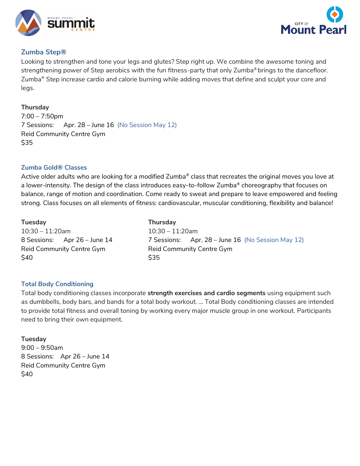



# **Zumba Step®**

Looking to strengthen and tone your legs and glutes? Step right up. We combine the awesome toning and strengthening power of Step aerobics with the fun fitness-party that only Zumba<sup>®</sup> brings to the dancefloor. Zumba® Step increase cardio and calorie burning while adding moves that define and sculpt your core and legs.

# **Thursday**

7:00 – 7:50pm 7 Sessions: Apr. 28 – June 16 (No Session May 12) Reid Community Centre Gym \$35

## **Zumba Gold® Classes**

Active older adults who are looking for a modified Zumba® class that recreates the original moves you love at a lower-intensity. The design of the class introduces easy-to-follow Zumba® choreography that focuses on balance, range of motion and coordination. Come ready to sweat and prepare to leave empowered and feeling strong. Class focuses on all elements of fitness: cardiovascular, muscular conditioning, flexibility and balance!

| <b>Tuesday</b>                    | <b>Thursday</b>                                   |
|-----------------------------------|---------------------------------------------------|
| $10:30 - 11:20$ am                | $10:30 - 11:20$ am                                |
| 8 Sessions: Apr 26 – June 14      | 7 Sessions: Apr. 28 – June 16 (No Session May 12) |
| Reid Community Centre Gym<br>\$40 | Reid Community Centre Gym<br><b>S35</b>           |

## **Total Body Conditioning**

Total body conditioning classes incorporate **strength exercises and cardio segments** using equipment such as dumbbells, body bars, and bands for a total body workout. ... Total Body conditioning classes are intended to provide total fitness and overall toning by working every major muscle group in one workout. Participants need to bring their own equipment.

## **Tuesday**

9:00 – 9:50am 8 Sessions: Apr 26 – June 14 Reid Community Centre Gym \$40